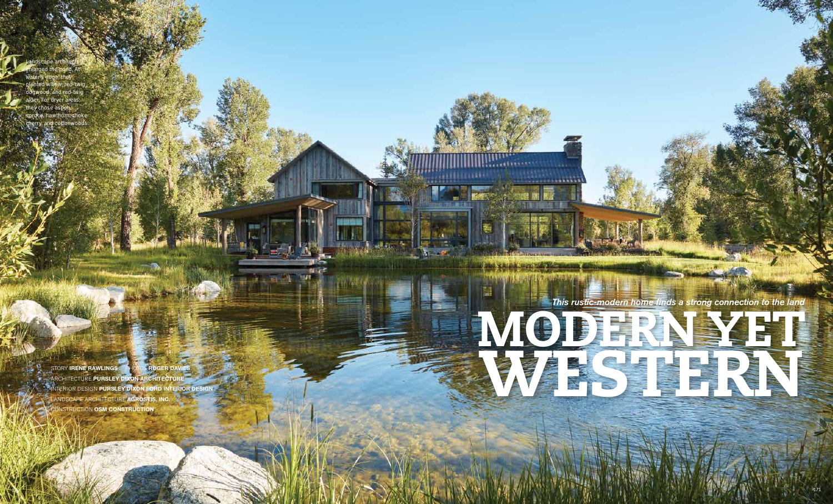170

STORY **IRENE RAWLINGS** PHOTOS **ROGER DAVIES ARCHITECTURE PURSLEY DIXON ARCHITECTUR INTERIOR DESIGN PURSLEY DIXON FORD INTERIOR DESIGN** LANDSCAPE ARCHITECTURE **AGROSTIS, INC.**  CONSTRUCTION **OSM CONSTRUCTION** 

 $1 - 1 = 1$ 

**INSTRUCTIONS** 



enlarged the pond. At water's edge, they planted willow, red-twig dogwood, and red-twig alder. For dryer areas, they chose aspen, spruce, hawthorn, choke cherry, and cottonwoods.

andscape archit $\epsilon$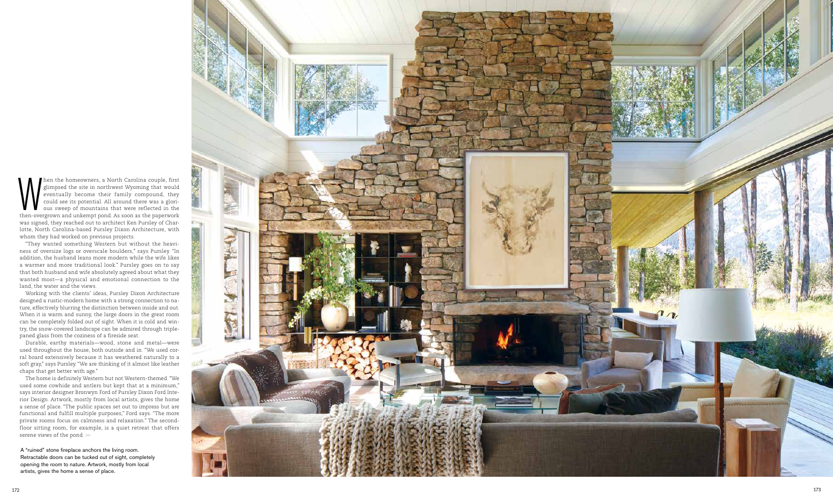hen the homeowners, a North Carolina couple, first glimpsed the site in northwest Wyoming that would eventually become their family compound, they could see its potential. All around there was a glori ous sweep of mountains that were reflected in the then-overgrown and unkempt pond. As soon as the paperwork was signed, they reached out to architect Ken Pursley of Charlotte, North Carolina-based Pursley Dixon Architecture, with whom they had worked on previous projects. **Solution** the homeown<br>
servicting the site eventually becom<br>
could see its poter<br>
could see its poter<br>
ous sweep of mot<br>
then-overgrown and unkem<br>
was signed, they reached on<br>
of the postering ness of oversize logs or ove

"They wanted something Western but without the heavi ness of oversize logs or overscale boulders," says Pursley. "In addition, the husband leans more modern while the wife likes a warmer and more traditional look." Pursley goes on to say that both husband and wife absolutely agreed about what they wanted most—a physical and emotional connection to the land, the water and the views.

Working with the clients' ideas, Pursley Dixon Architecture designed a rustic-modern home with a strong connection to na ture, effectively blurring the distinction between inside and out. When it is warm and sunny, the large doors in the great room can be completely folded out of sight. When it is cold and win try, the snow-covered landscape can be admired through triplepaned glass from the coziness of a fireside seat.

Durable, earthy materials—wood, stone and metal—were used throughout the house, both outside and in. "We used corral board extensively because it has weathered naturally to a soft gray," says Pursley. "We are thinking of it almost like leather chaps that get better with age."

The home is definitely Western but not Western-themed. "We used some cowhide and antlers but kept that at a minimum," says interior designer Bronwyn Ford of Pursley Dixon Ford Inte rior Design. Artwork, mostly from local artists, gives the home a sense of place. "The public spaces set out to impress but are functional and fulfill multiple purposes," Ford says. "The more private rooms focus on calmness and relaxation." The secondfloor sitting room, for example, is a quiet retreat that offers

A "ruined" stone fireplace anchors the living room. Retractable doors can be tucked out of sight, completely opening the room to nature. Artwork, mostly from local artists, gives the home a sense of place.

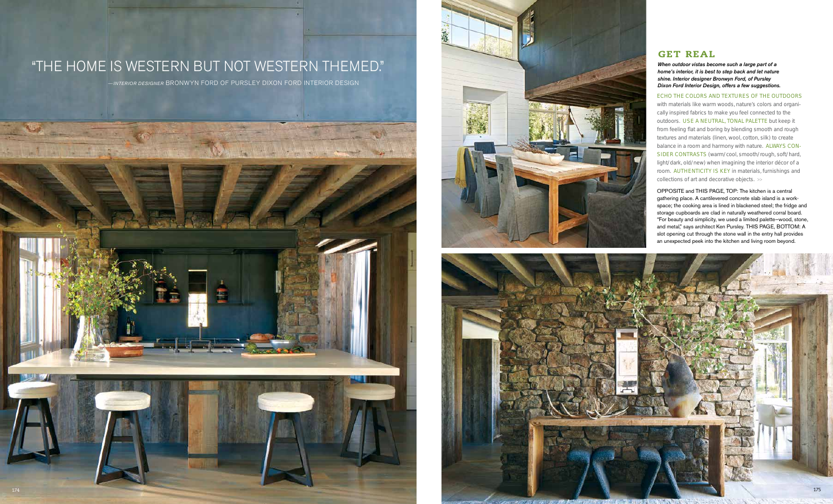## GET REAL

## "THE HOME IS WESTERN BUT NOT WESTERN THEMED." ——*INTERIOR DESIGNER* BRONWYN FORD OF PURSLEY DIXON FORD INTERIOR DESIGN







OPPOSITE and THIS PAGE, TOP: The kitchen is a central gathering place. A cantilevered concrete slab island is a workspace; the cooking area is lined in blackened steel; the fridge and storage cupboards are clad in naturally weathered corral board. "For beauty and simplicity, we used a limited palette—wood, stone, and metal," says architect Ken Pursley. THIS PAGE, BOTTOM: A slot opening cut through the stone wall in the entry hall provides an unexpected peek into the kitchen and living room beyond.

*When outdoor vistas become such a large part of a home's interior, it is best to step back and let nature shine. Interior designer Bronwyn Ford, of Pursley Dixon Ford Interior Design, offers a few suggestions.*

ECHO THE COLORS AND TEXTURES OF THE OUTDOORS with materials like warm woods, nature's colors and organically inspired fabrics to make you feel connected to the outdoors. USE A NEUTRAL, TONAL PALETTE but keep it from feeling flat and boring by blending smooth and rough textures and materials (linen, wool, cotton, silk) to create balance in a room and harmony with nature. ALWAYS CON-SIDER CONTRASTS (warm/cool, smooth/rough, soft/hard, light/dark, old/new) when imagining the interior décor of a room. AUTHENTICITY IS KEY in materials, furnishings and collections of art and decorative objects. >>